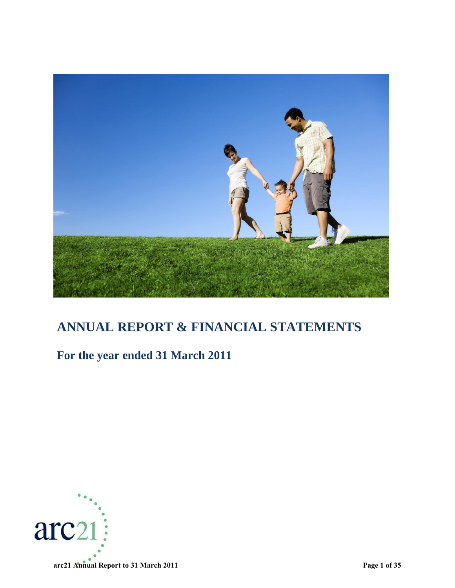

# **ANNUAL REPORT & FINANCIAL STATEMENTS**

# **For the year ended 31 March 2011**

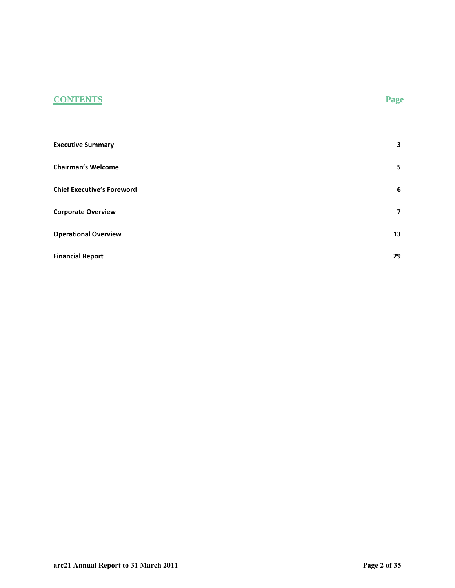## **CONTENTS Page**

| <b>Executive Summary</b>          | 3  |
|-----------------------------------|----|
| <b>Chairman's Welcome</b>         | 5  |
| <b>Chief Executive's Foreword</b> | 6  |
| <b>Corporate Overview</b>         | 7  |
| <b>Operational Overview</b>       | 13 |
| <b>Financial Report</b>           | 29 |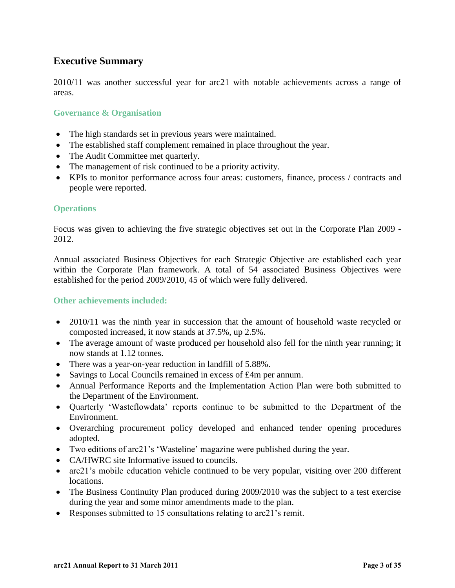## <span id="page-2-0"></span>**Executive Summary**

2010/11 was another successful year for arc21 with notable achievements across a range of areas.

#### **Governance & Organisation**

- The high standards set in previous years were maintained.
- The established staff complement remained in place throughout the year.
- The Audit Committee met quarterly.
- The management of risk continued to be a priority activity.
- KPIs to monitor performance across four areas: customers, finance, process / contracts and people were reported.

#### **Operations**

Focus was given to achieving the five strategic objectives set out in the Corporate Plan 2009 - 2012.

Annual associated Business Objectives for each Strategic Objective are established each year within the Corporate Plan framework. A total of 54 associated Business Objectives were established for the period 2009/2010, 45 of which were fully delivered.

#### **Other achievements included:**

- 2010/11 was the ninth year in succession that the amount of household waste recycled or composted increased, it now stands at 37.5%, up 2.5%.
- The average amount of waste produced per household also fell for the ninth year running; it now stands at 1.12 tonnes.
- There was a year-on-year reduction in landfill of 5.88%.
- Savings to Local Councils remained in excess of £4m per annum.
- Annual Performance Reports and the Implementation Action Plan were both submitted to the Department of the Environment.
- Quarterly "Wasteflowdata" reports continue to be submitted to the Department of the Environment.
- Overarching procurement policy developed and enhanced tender opening procedures adopted.
- Two editions of arc21"s "Wasteline" magazine were published during the year.
- CA/HWRC site Informative issued to councils.
- arc21's mobile education vehicle continued to be very popular, visiting over 200 different locations.
- The Business Continuity Plan produced during 2009/2010 was the subject to a test exercise during the year and some minor amendments made to the plan.
- Responses submitted to 15 consultations relating to arc 21's remit.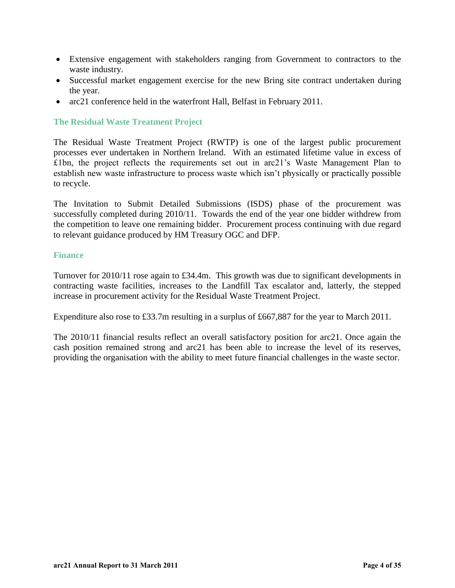- Extensive engagement with stakeholders ranging from Government to contractors to the waste industry.
- Successful market engagement exercise for the new Bring site contract undertaken during the year.
- arc21 conference held in the waterfront Hall, Belfast in February 2011.

#### **The Residual Waste Treatment Project**

The Residual Waste Treatment Project (RWTP) is one of the largest public procurement processes ever undertaken in Northern Ireland. With an estimated lifetime value in excess of £1bn, the project reflects the requirements set out in arc21"s Waste Management Plan to establish new waste infrastructure to process waste which isn"t physically or practically possible to recycle.

The Invitation to Submit Detailed Submissions (ISDS) phase of the procurement was successfully completed during 2010/11. Towards the end of the year one bidder withdrew from the competition to leave one remaining bidder. Procurement process continuing with due regard to relevant guidance produced by HM Treasury OGC and DFP.

#### **Finance**

Turnover for 2010/11 rose again to £34.4m. This growth was due to significant developments in contracting waste facilities, increases to the Landfill Tax escalator and, latterly, the stepped increase in procurement activity for the Residual Waste Treatment Project.

Expenditure also rose to £33.7m resulting in a surplus of £667,887 for the year to March 2011.

The 2010/11 financial results reflect an overall satisfactory position for arc21. Once again the cash position remained strong and arc21 has been able to increase the level of its reserves, providing the organisation with the ability to meet future financial challenges in the waste sector.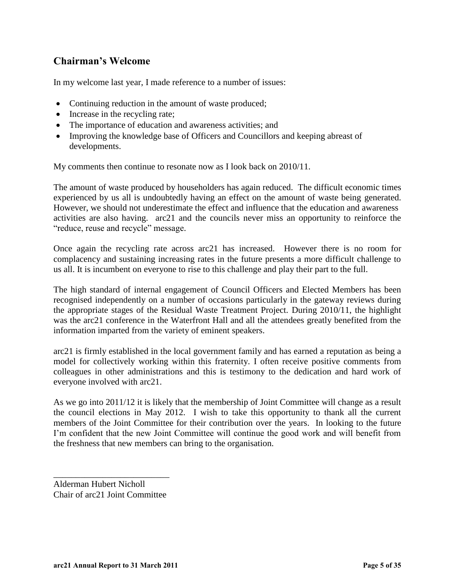## <span id="page-4-0"></span>**Chairman's Welcome**

In my welcome last year, I made reference to a number of issues:

- Continuing reduction in the amount of waste produced;
- Increase in the recycling rate;
- The importance of education and awareness activities; and
- Improving the knowledge base of Officers and Councillors and keeping abreast of developments.

My comments then continue to resonate now as I look back on 2010/11.

The amount of waste produced by householders has again reduced. The difficult economic times experienced by us all is undoubtedly having an effect on the amount of waste being generated. However, we should not underestimate the effect and influence that the education and awareness activities are also having. arc21 and the councils never miss an opportunity to reinforce the "reduce, reuse and recycle" message.

Once again the recycling rate across arc21 has increased. However there is no room for complacency and sustaining increasing rates in the future presents a more difficult challenge to us all. It is incumbent on everyone to rise to this challenge and play their part to the full.

The high standard of internal engagement of Council Officers and Elected Members has been recognised independently on a number of occasions particularly in the gateway reviews during the appropriate stages of the Residual Waste Treatment Project. During 2010/11, the highlight was the arc21 conference in the Waterfront Hall and all the attendees greatly benefited from the information imparted from the variety of eminent speakers.

arc21 is firmly established in the local government family and has earned a reputation as being a model for collectively working within this fraternity. I often receive positive comments from colleagues in other administrations and this is testimony to the dedication and hard work of everyone involved with arc21.

As we go into 2011/12 it is likely that the membership of Joint Committee will change as a result the council elections in May 2012. I wish to take this opportunity to thank all the current members of the Joint Committee for their contribution over the years. In looking to the future I"m confident that the new Joint Committee will continue the good work and will benefit from the freshness that new members can bring to the organisation.

Alderman Hubert Nicholl Chair of arc21 Joint Committee

\_\_\_\_\_\_\_\_\_\_\_\_\_\_\_\_\_\_\_\_\_\_\_\_\_\_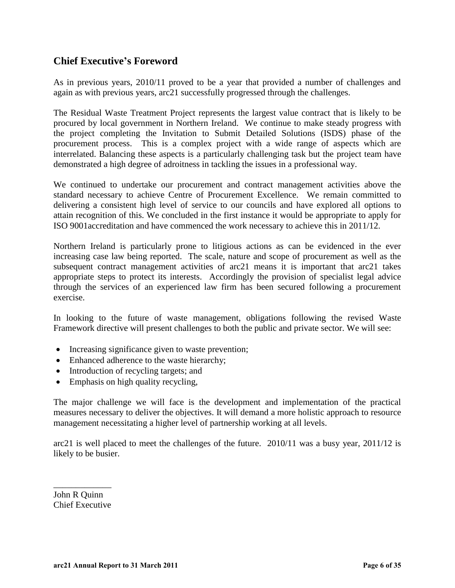## <span id="page-5-0"></span>**Chief Executive's Foreword**

As in previous years, 2010/11 proved to be a year that provided a number of challenges and again as with previous years, arc21 successfully progressed through the challenges.

The Residual Waste Treatment Project represents the largest value contract that is likely to be procured by local government in Northern Ireland. We continue to make steady progress with the project completing the Invitation to Submit Detailed Solutions (ISDS) phase of the procurement process. This is a complex project with a wide range of aspects which are interrelated. Balancing these aspects is a particularly challenging task but the project team have demonstrated a high degree of adroitness in tackling the issues in a professional way.

We continued to undertake our procurement and contract management activities above the standard necessary to achieve Centre of Procurement Excellence. We remain committed to delivering a consistent high level of service to our councils and have explored all options to attain recognition of this. We concluded in the first instance it would be appropriate to apply for ISO 9001accreditation and have commenced the work necessary to achieve this in 2011/12.

Northern Ireland is particularly prone to litigious actions as can be evidenced in the ever increasing case law being reported. The scale, nature and scope of procurement as well as the subsequent contract management activities of arc21 means it is important that arc21 takes appropriate steps to protect its interests. Accordingly the provision of specialist legal advice through the services of an experienced law firm has been secured following a procurement exercise.

In looking to the future of waste management, obligations following the revised Waste Framework directive will present challenges to both the public and private sector. We will see:

- Increasing significance given to waste prevention;
- Enhanced adherence to the waste hierarchy:
- Introduction of recycling targets; and
- Emphasis on high quality recycling,

The major challenge we will face is the development and implementation of the practical measures necessary to deliver the objectives. It will demand a more holistic approach to resource management necessitating a higher level of partnership working at all levels.

arc21 is well placed to meet the challenges of the future. 2010/11 was a busy year, 2011/12 is likely to be busier.

John R Quinn Chief Executive

\_\_\_\_\_\_\_\_\_\_\_\_\_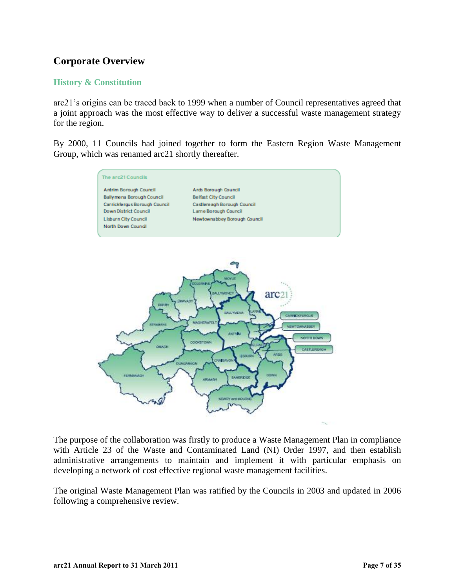## <span id="page-6-0"></span>**Corporate Overview**

#### **History & Constitution**

arc21"s origins can be traced back to 1999 when a number of Council representatives agreed that a joint approach was the most effective way to deliver a successful waste management strategy for the region.

By 2000, 11 Councils had joined together to form the Eastern Region Waste Management Group, which was renamed arc21 shortly thereafter.



The purpose of the collaboration was firstly to produce a Waste Management Plan in compliance with Article 23 of the Waste and Contaminated Land (NI) Order 1997, and then establish administrative arrangements to maintain and implement it with particular emphasis on developing a network of cost effective regional waste management facilities.

The original Waste Management Plan was ratified by the Councils in 2003 and updated in 2006 following a comprehensive review.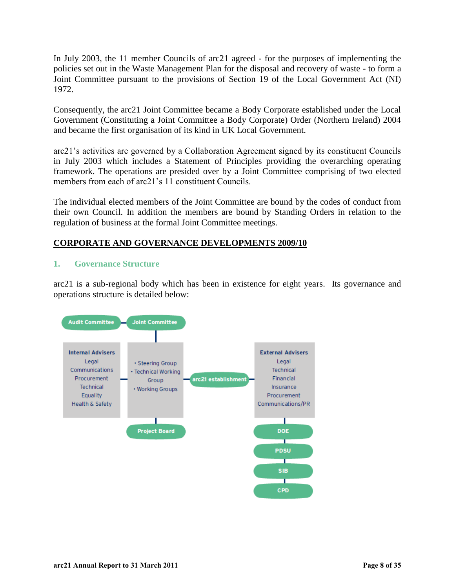In July 2003, the 11 member Councils of arc21 agreed - for the purposes of implementing the policies set out in the Waste Management Plan for the disposal and recovery of waste - to form a Joint Committee pursuant to the provisions of Section 19 of the Local Government Act (NI) 1972.

Consequently, the arc21 Joint Committee became a Body Corporate established under the Local Government (Constituting a Joint Committee a Body Corporate) Order (Northern Ireland) 2004 and became the first organisation of its kind in UK Local Government.

arc21"s activities are governed by a Collaboration Agreement signed by its constituent Councils in July 2003 which includes a Statement of Principles providing the overarching operating framework. The operations are presided over by a Joint Committee comprising of two elected members from each of arc21's 11 constituent Councils.

The individual elected members of the Joint Committee are bound by the codes of conduct from their own Council. In addition the members are bound by Standing Orders in relation to the regulation of business at the formal Joint Committee meetings.

#### **CORPORATE AND GOVERNANCE DEVELOPMENTS 2009/10**

#### **1. Governance Structure**

arc21 is a sub-regional body which has been in existence for eight years. Its governance and operations structure is detailed below:

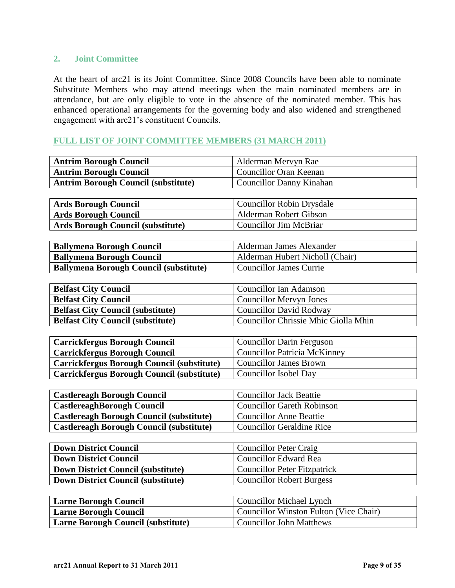#### **2. Joint Committee**

At the heart of arc21 is its Joint Committee. Since 2008 Councils have been able to nominate Substitute Members who may attend meetings when the main nominated members are in attendance, but are only eligible to vote in the absence of the nominated member. This has enhanced operational arrangements for the governing body and also widened and strengthened engagement with arc21"s constituent Councils.

#### **FULL LIST OF JOINT COMMITTEE MEMBERS (31 MARCH 2011)**

| <b>Antrim Borough Council</b>                     | Alderman Mervyn Rae                           |
|---------------------------------------------------|-----------------------------------------------|
| <b>Antrim Borough Council</b>                     | <b>Councillor Oran Keenan</b>                 |
| <b>Antrim Borough Council (substitute)</b>        | <b>Councillor Danny Kinahan</b>               |
|                                                   |                                               |
| <b>Ards Borough Council</b>                       | <b>Councillor Robin Drysdale</b>              |
| <b>Ards Borough Council</b>                       | <b>Alderman Robert Gibson</b>                 |
| <b>Ards Borough Council (substitute)</b>          | <b>Councillor Jim McBriar</b>                 |
|                                                   |                                               |
| <b>Ballymena Borough Council</b>                  | Alderman James Alexander                      |
| <b>Ballymena Borough Council</b>                  | Alderman Hubert Nicholl (Chair)               |
| <b>Ballymena Borough Council (substitute)</b>     | <b>Councillor James Currie</b>                |
|                                                   |                                               |
| <b>Belfast City Council</b>                       | <b>Councillor Ian Adamson</b>                 |
| <b>Belfast City Council</b>                       | <b>Councillor Mervyn Jones</b>                |
| <b>Belfast City Council (substitute)</b>          | <b>Councillor David Rodway</b>                |
| <b>Belfast City Council (substitute)</b>          | Councillor Chrissie Mhic Giolla Mhin          |
|                                                   |                                               |
| <b>Carrickfergus Borough Council</b>              | <b>Councillor Darin Ferguson</b>              |
| <b>Carrickfergus Borough Council</b>              | <b>Councillor Patricia McKinney</b>           |
| <b>Carrickfergus Borough Council (substitute)</b> | <b>Councillor James Brown</b>                 |
| <b>Carrickfergus Borough Council (substitute)</b> | <b>Councillor Isobel Day</b>                  |
|                                                   |                                               |
| <b>Castlereagh Borough Council</b>                | <b>Councillor Jack Beattie</b>                |
| <b>CastlereaghBorough Council</b>                 | <b>Councillor Gareth Robinson</b>             |
| <b>Castlereagh Borough Council (substitute)</b>   | <b>Councillor Anne Beattie</b>                |
| Castlereagh Borough Council (substitute)          | <b>Councillor Geraldine Rice</b>              |
|                                                   |                                               |
| <b>Down District Council</b>                      | <b>Councillor Peter Craig</b>                 |
| <b>Down District Council</b>                      | <b>Councillor Edward Rea</b>                  |
| <b>Down District Council (substitute)</b>         | <b>Councillor Peter Fitzpatrick</b>           |
| <b>Down District Council (substitute)</b>         | <b>Councillor Robert Burgess</b>              |
|                                                   |                                               |
| <b>Larne Borough Council</b>                      | <b>Councillor Michael Lynch</b>               |
| <b>Larne Borough Council</b>                      | <b>Councillor Winston Fulton (Vice Chair)</b> |

**Larne Borough Council (substitute)** Councillor John Matthews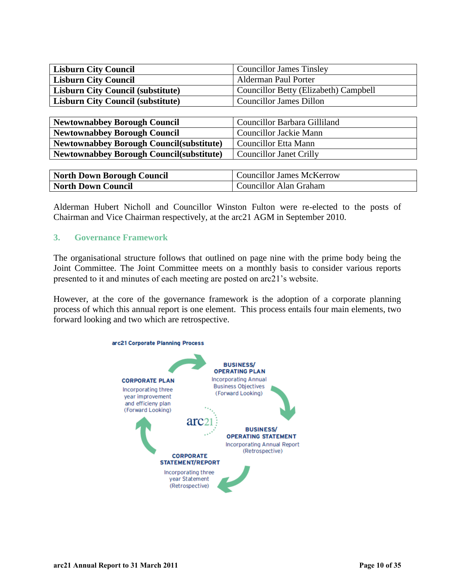| <b>Lisburn City Council</b>                      | <b>Councillor James Tinsley</b>              |
|--------------------------------------------------|----------------------------------------------|
| <b>Lisburn City Council</b>                      | <b>Alderman Paul Porter</b>                  |
| <b>Lisburn City Council (substitute)</b>         | <b>Councillor Betty (Elizabeth) Campbell</b> |
| <b>Lisburn City Council (substitute)</b>         | <b>Councillor James Dillon</b>               |
|                                                  |                                              |
| <b>Newtownabbey Borough Council</b>              | Councillor Barbara Gilliland                 |
| <b>Newtownabbey Borough Council</b>              | <b>Councillor Jackie Mann</b>                |
| <b>Newtownabbey Borough Council (substitute)</b> | <b>Councillor Etta Mann</b>                  |
| <b>Newtownabbey Borough Council(substitute)</b>  | <b>Councillor Janet Crilly</b>               |

| <b>North Down Borough Council</b> | <b>Councillor James McKerrow</b> |
|-----------------------------------|----------------------------------|
| North Down Council                | Councillor Alan Graham           |

Alderman Hubert Nicholl and Councillor Winston Fulton were re-elected to the posts of Chairman and Vice Chairman respectively, at the arc21 AGM in September 2010.

#### **3. Governance Framework**

The organisational structure follows that outlined on page nine with the prime body being the Joint Committee. The Joint Committee meets on a monthly basis to consider various reports presented to it and minutes of each meeting are posted on arc21"s website.

However, at the core of the governance framework is the adoption of a corporate planning process of which this annual report is one element. This process entails four main elements, two forward looking and two which are retrospective.

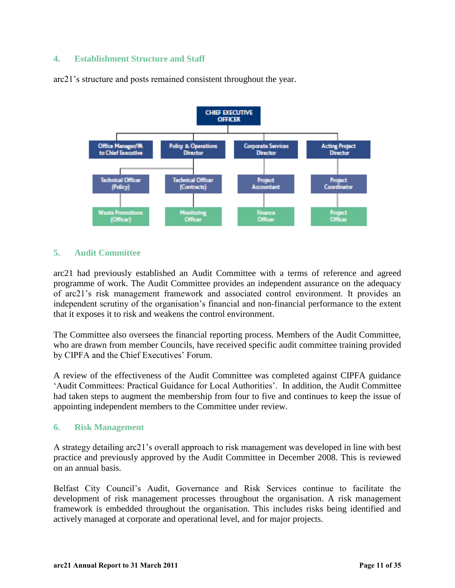#### **4. Establishment Structure and Staff**



arc21"s structure and posts remained consistent throughout the year.

### **5. Audit Committee**

arc21 had previously established an Audit Committee with a terms of reference and agreed programme of work. The Audit Committee provides an independent assurance on the adequacy of arc21"s risk management framework and associated control environment. It provides an independent scrutiny of the organisation's financial and non-financial performance to the extent that it exposes it to risk and weakens the control environment.

The Committee also oversees the financial reporting process. Members of the Audit Committee, who are drawn from member Councils, have received specific audit committee training provided by CIPFA and the Chief Executives' Forum.

A review of the effectiveness of the Audit Committee was completed against CIPFA guidance 'Audit Committees: Practical Guidance for Local Authorities'. In addition, the Audit Committee had taken steps to augment the membership from four to five and continues to keep the issue of appointing independent members to the Committee under review.

#### **6. Risk Management**

A strategy detailing arc21"s overall approach to risk management was developed in line with best practice and previously approved by the Audit Committee in December 2008. This is reviewed on an annual basis.

Belfast City Council"s Audit, Governance and Risk Services continue to facilitate the development of risk management processes throughout the organisation. A risk management framework is embedded throughout the organisation. This includes risks being identified and actively managed at corporate and operational level, and for major projects.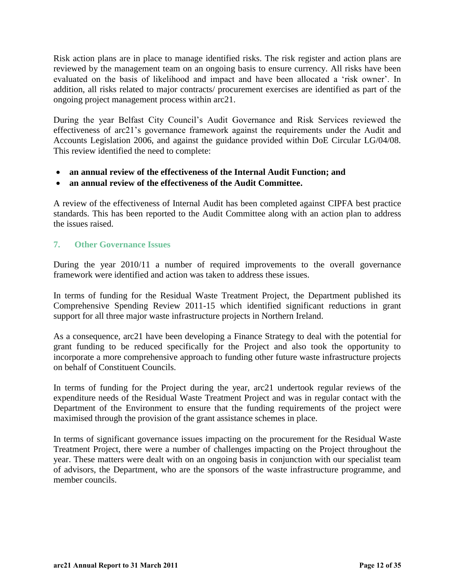Risk action plans are in place to manage identified risks. The risk register and action plans are reviewed by the management team on an ongoing basis to ensure currency. All risks have been evaluated on the basis of likelihood and impact and have been allocated a "risk owner". In addition, all risks related to major contracts/ procurement exercises are identified as part of the ongoing project management process within arc21.

During the year Belfast City Council"s Audit Governance and Risk Services reviewed the effectiveness of arc21"s governance framework against the requirements under the Audit and Accounts Legislation 2006, and against the guidance provided within DoE Circular LG/04/08. This review identified the need to complete:

- **an annual review of the effectiveness of the Internal Audit Function; and**
- **an annual review of the effectiveness of the Audit Committee.**

A review of the effectiveness of Internal Audit has been completed against CIPFA best practice standards. This has been reported to the Audit Committee along with an action plan to address the issues raised.

#### **7. Other Governance Issues**

During the year 2010/11 a number of required improvements to the overall governance framework were identified and action was taken to address these issues.

In terms of funding for the Residual Waste Treatment Project, the Department published its Comprehensive Spending Review 2011-15 which identified significant reductions in grant support for all three major waste infrastructure projects in Northern Ireland.

As a consequence, arc21 have been developing a Finance Strategy to deal with the potential for grant funding to be reduced specifically for the Project and also took the opportunity to incorporate a more comprehensive approach to funding other future waste infrastructure projects on behalf of Constituent Councils.

In terms of funding for the Project during the year, arc21 undertook regular reviews of the expenditure needs of the Residual Waste Treatment Project and was in regular contact with the Department of the Environment to ensure that the funding requirements of the project were maximised through the provision of the grant assistance schemes in place.

In terms of significant governance issues impacting on the procurement for the Residual Waste Treatment Project, there were a number of challenges impacting on the Project throughout the year. These matters were dealt with on an ongoing basis in conjunction with our specialist team of advisors, the Department, who are the sponsors of the waste infrastructure programme, and member councils.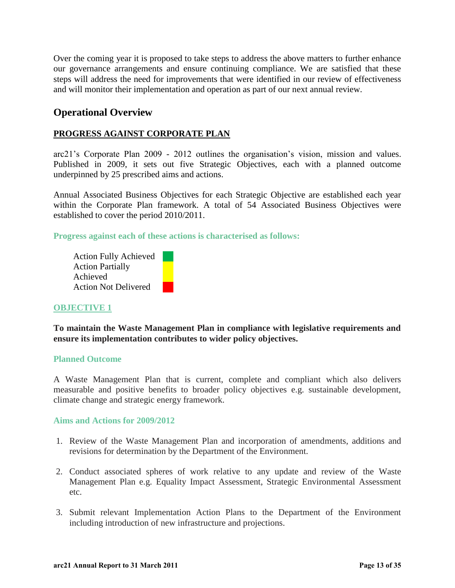Over the coming year it is proposed to take steps to address the above matters to further enhance our governance arrangements and ensure continuing compliance. We are satisfied that these steps will address the need for improvements that were identified in our review of effectiveness and will monitor their implementation and operation as part of our next annual review.

### <span id="page-12-0"></span>**Operational Overview**

#### **PROGRESS AGAINST CORPORATE PLAN**

arc21"s Corporate Plan 2009 - 2012 outlines the organisation"s vision, mission and values. Published in 2009, it sets out five Strategic Objectives, each with a planned outcome underpinned by 25 prescribed aims and actions.

Annual Associated Business Objectives for each Strategic Objective are established each year within the Corporate Plan framework. A total of 54 Associated Business Objectives were established to cover the period 2010/2011.

**Progress against each of these actions is characterised as follows:** 

Action Fully Achieved Action Partially Achieved Action Not Delivered

#### **OBJECTIVE 1**

**To maintain the Waste Management Plan in compliance with legislative requirements and ensure its implementation contributes to wider policy objectives.** 

#### **Planned Outcome**

A Waste Management Plan that is current, complete and compliant which also delivers measurable and positive benefits to broader policy objectives e.g. sustainable development, climate change and strategic energy framework.

**Aims and Actions for 2009/2012** 

- 1. Review of the Waste Management Plan and incorporation of amendments, additions and revisions for determination by the Department of the Environment.
- 2. Conduct associated spheres of work relative to any update and review of the Waste Management Plan e.g. Equality Impact Assessment, Strategic Environmental Assessment etc.
- 3. Submit relevant Implementation Action Plans to the Department of the Environment including introduction of new infrastructure and projections.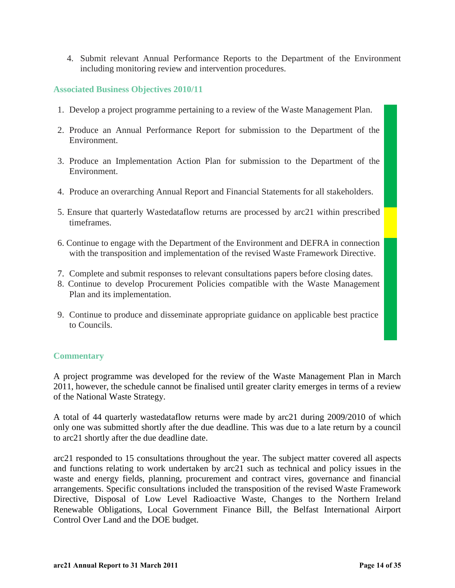4. Submit relevant Annual Performance Reports to the Department of the Environment including monitoring review and intervention procedures.

#### **Associated Business Objectives 2010/11**

- 1. Develop a project programme pertaining to a review of the Waste Management Plan.
- 2. Produce an Annual Performance Report for submission to the Department of the Environment.
- 3. Produce an Implementation Action Plan for submission to the Department of the Environment.
- 4. Produce an overarching Annual Report and Financial Statements for all stakeholders.
- 5. Ensure that quarterly Wastedataflow returns are processed by arc21 within prescribed timeframes.
- 6. Continue to engage with the Department of the Environment and DEFRA in connection with the transposition and implementation of the revised Waste Framework Directive.
- 7. Complete and submit responses to relevant consultations papers before closing dates.
- 8. Continue to develop Procurement Policies compatible with the Waste Management Plan and its implementation.
- 9. Continue to produce and disseminate appropriate guidance on applicable best practice to Councils.

#### **Commentary**

A project programme was developed for the review of the Waste Management Plan in March 2011, however, the schedule cannot be finalised until greater clarity emerges in terms of a review of the National Waste Strategy.

A total of 44 quarterly wastedataflow returns were made by arc21 during 2009/2010 of which only one was submitted shortly after the due deadline. This was due to a late return by a council to arc21 shortly after the due deadline date.

arc21 responded to 15 consultations throughout the year. The subject matter covered all aspects and functions relating to work undertaken by arc21 such as technical and policy issues in the waste and energy fields, planning, procurement and contract vires, governance and financial arrangements. Specific consultations included the transposition of the revised Waste Framework Directive, Disposal of Low Level Radioactive Waste, Changes to the Northern Ireland Renewable Obligations, Local Government Finance Bill, the Belfast International Airport Control Over Land and the DOE budget.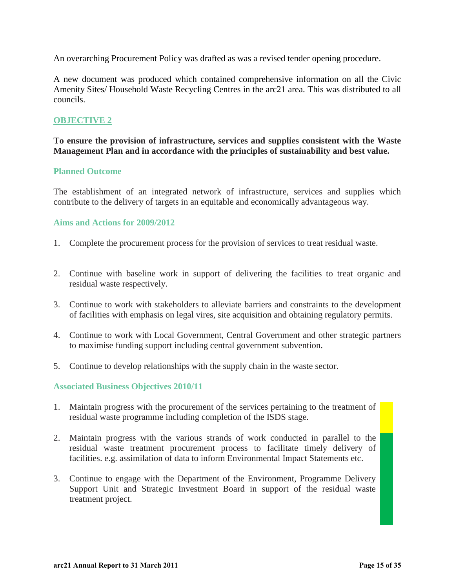An overarching Procurement Policy was drafted as was a revised tender opening procedure.

A new document was produced which contained comprehensive information on all the Civic Amenity Sites/ Household Waste Recycling Centres in the arc21 area. This was distributed to all councils.

#### **OBJECTIVE 2**

**To ensure the provision of infrastructure, services and supplies consistent with the Waste Management Plan and in accordance with the principles of sustainability and best value.** 

#### **Planned Outcome**

The establishment of an integrated network of infrastructure, services and supplies which contribute to the delivery of targets in an equitable and economically advantageous way.

#### **Aims and Actions for 2009/2012**

- 1. Complete the procurement process for the provision of services to treat residual waste.
- 2. Continue with baseline work in support of delivering the facilities to treat organic and residual waste respectively.
- 3. Continue to work with stakeholders to alleviate barriers and constraints to the development of facilities with emphasis on legal vires, site acquisition and obtaining regulatory permits.
- 4. Continue to work with Local Government, Central Government and other strategic partners to maximise funding support including central government subvention.
- 5. Continue to develop relationships with the supply chain in the waste sector.

#### **Associated Business Objectives 2010/11**

- 1. Maintain progress with the procurement of the services pertaining to the treatment of residual waste programme including completion of the ISDS stage.
- 2. Maintain progress with the various strands of work conducted in parallel to the residual waste treatment procurement process to facilitate timely delivery of facilities. e.g. assimilation of data to inform Environmental Impact Statements etc.
- 3. Continue to engage with the Department of the Environment, Programme Delivery Support Unit and Strategic Investment Board in support of the residual waste treatment project.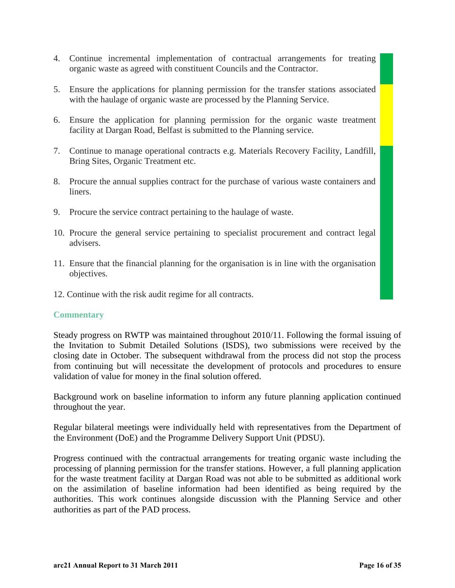- 4. Continue incremental implementation of contractual arrangements for treating organic waste as agreed with constituent Councils and the Contractor.
- 5. Ensure the applications for planning permission for the transfer stations associated with the haulage of organic waste are processed by the Planning Service.
- 6. Ensure the application for planning permission for the organic waste treatment facility at Dargan Road, Belfast is submitted to the Planning service.
- 7. Continue to manage operational contracts e.g. Materials Recovery Facility, Landfill, Bring Sites, Organic Treatment etc.
- 8. Procure the annual supplies contract for the purchase of various waste containers and liners.
- 9. Procure the service contract pertaining to the haulage of waste.
- 10. Procure the general service pertaining to specialist procurement and contract legal advisers.
- 11. Ensure that the financial planning for the organisation is in line with the organisation objectives.
- 12. Continue with the risk audit regime for all contracts.

#### **Commentary**

Steady progress on RWTP was maintained throughout 2010/11. Following the formal issuing of the Invitation to Submit Detailed Solutions (ISDS), two submissions were received by the closing date in October. The subsequent withdrawal from the process did not stop the process from continuing but will necessitate the development of protocols and procedures to ensure validation of value for money in the final solution offered.

Background work on baseline information to inform any future planning application continued throughout the year.

Regular bilateral meetings were individually held with representatives from the Department of the Environment (DoE) and the Programme Delivery Support Unit (PDSU).

Progress continued with the contractual arrangements for treating organic waste including the processing of planning permission for the transfer stations. However, a full planning application for the waste treatment facility at Dargan Road was not able to be submitted as additional work on the assimilation of baseline information had been identified as being required by the authorities. This work continues alongside discussion with the Planning Service and other authorities as part of the PAD process.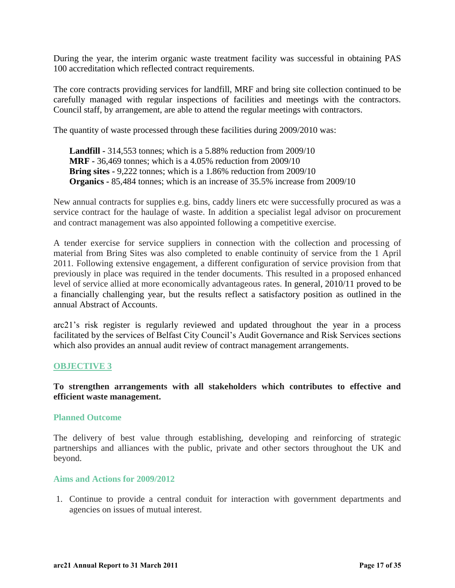During the year, the interim organic waste treatment facility was successful in obtaining PAS 100 accreditation which reflected contract requirements.

The core contracts providing services for landfill, MRF and bring site collection continued to be carefully managed with regular inspections of facilities and meetings with the contractors. Council staff, by arrangement, are able to attend the regular meetings with contractors.

The quantity of waste processed through these facilities during 2009/2010 was:

**Landfill -** 314,553 tonnes; which is a 5.88% reduction from 2009/10 **MRF -** 36,469 tonnes; which is a 4.05% reduction from 2009/10 **Bring sites -** 9,222 tonnes; which is a 1.86% reduction from 2009/10 **Organics -** 85,484 tonnes; which is an increase of 35.5% increase from 2009/10

New annual contracts for supplies e.g. bins, caddy liners etc were successfully procured as was a service contract for the haulage of waste. In addition a specialist legal advisor on procurement and contract management was also appointed following a competitive exercise.

A tender exercise for service suppliers in connection with the collection and processing of material from Bring Sites was also completed to enable continuity of service from the 1 April 2011. Following extensive engagement, a different configuration of service provision from that previously in place was required in the tender documents. This resulted in a proposed enhanced level of service allied at more economically advantageous rates. In general, 2010/11 proved to be a financially challenging year, but the results reflect a satisfactory position as outlined in the annual Abstract of Accounts.

arc21"s risk register is regularly reviewed and updated throughout the year in a process facilitated by the services of Belfast City Council"s Audit Governance and Risk Services sections which also provides an annual audit review of contract management arrangements.

#### **OBJECTIVE 3**

#### **To strengthen arrangements with all stakeholders which contributes to effective and efficient waste management.**

#### **Planned Outcome**

The delivery of best value through establishing, developing and reinforcing of strategic partnerships and alliances with the public, private and other sectors throughout the UK and beyond.

#### **Aims and Actions for 2009/2012**

1. Continue to provide a central conduit for interaction with government departments and agencies on issues of mutual interest.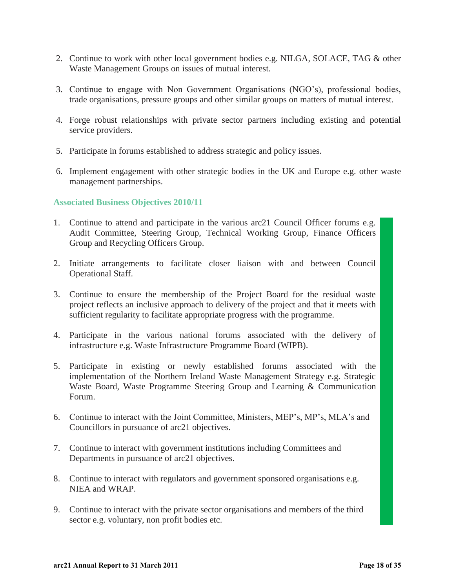- 2. Continue to work with other local government bodies e.g. NILGA, SOLACE, TAG & other Waste Management Groups on issues of mutual interest.
- 3. Continue to engage with Non Government Organisations (NGO"s), professional bodies, trade organisations, pressure groups and other similar groups on matters of mutual interest.
- 4. Forge robust relationships with private sector partners including existing and potential service providers.
- 5. Participate in forums established to address strategic and policy issues.
- 6. Implement engagement with other strategic bodies in the UK and Europe e.g. other waste management partnerships.

#### **Associated Business Objectives 2010/11**

- 1. Continue to attend and participate in the various arc21 Council Officer forums e.g. Audit Committee, Steering Group, Technical Working Group, Finance Officers Group and Recycling Officers Group.
- 2. Initiate arrangements to facilitate closer liaison with and between Council Operational Staff.
- 3. Continue to ensure the membership of the Project Board for the residual waste project reflects an inclusive approach to delivery of the project and that it meets with sufficient regularity to facilitate appropriate progress with the programme.
- 4. Participate in the various national forums associated with the delivery of infrastructure e.g. Waste Infrastructure Programme Board (WIPB).
- 5. Participate in existing or newly established forums associated with the implementation of the Northern Ireland Waste Management Strategy e.g. Strategic Waste Board, Waste Programme Steering Group and Learning & Communication Forum.
- 6. Continue to interact with the Joint Committee, Ministers, MEP"s, MP"s, MLA"s and Councillors in pursuance of arc21 objectives.
- 7. Continue to interact with government institutions including Committees and Departments in pursuance of arc21 objectives.
- 8. Continue to interact with regulators and government sponsored organisations e.g. NIEA and WRAP.
- 9. Continue to interact with the private sector organisations and members of the third sector e.g. voluntary, non profit bodies etc.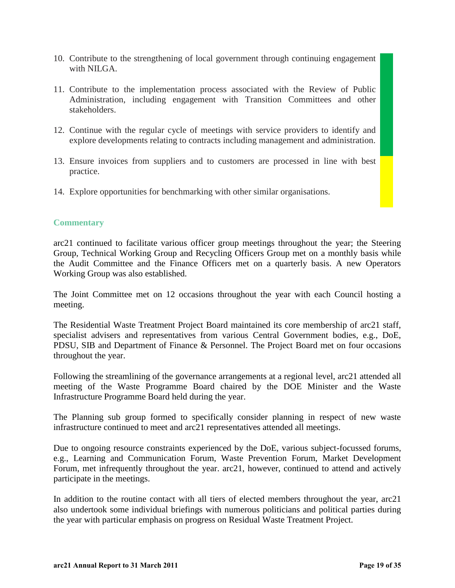- 10. Contribute to the strengthening of local government through continuing engagement with NILGA.
- 11. Contribute to the implementation process associated with the Review of Public Administration, including engagement with Transition Committees and other stakeholders.
- 12. Continue with the regular cycle of meetings with service providers to identify and explore developments relating to contracts including management and administration.
- 13. Ensure invoices from suppliers and to customers are processed in line with best practice.
- 14. Explore opportunities for benchmarking with other similar organisations.

#### **Commentary**

arc21 continued to facilitate various officer group meetings throughout the year; the Steering Group, Technical Working Group and Recycling Officers Group met on a monthly basis while the Audit Committee and the Finance Officers met on a quarterly basis. A new Operators Working Group was also established.

The Joint Committee met on 12 occasions throughout the year with each Council hosting a meeting.

The Residential Waste Treatment Project Board maintained its core membership of arc21 staff, specialist advisers and representatives from various Central Government bodies, e.g., DoE, PDSU, SIB and Department of Finance & Personnel. The Project Board met on four occasions throughout the year.

Following the streamlining of the governance arrangements at a regional level, arc21 attended all meeting of the Waste Programme Board chaired by the DOE Minister and the Waste Infrastructure Programme Board held during the year.

The Planning sub group formed to specifically consider planning in respect of new waste infrastructure continued to meet and arc21 representatives attended all meetings.

Due to ongoing resource constraints experienced by the DoE, various subject-focussed forums, e.g., Learning and Communication Forum, Waste Prevention Forum, Market Development Forum, met infrequently throughout the year. arc21, however, continued to attend and actively participate in the meetings.

In addition to the routine contact with all tiers of elected members throughout the year, arc21 also undertook some individual briefings with numerous politicians and political parties during the year with particular emphasis on progress on Residual Waste Treatment Project.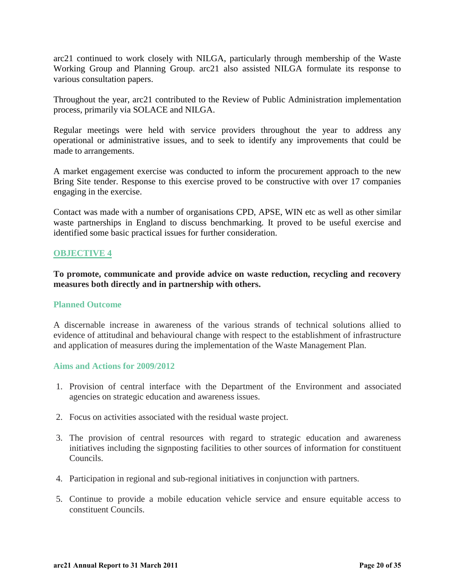arc21 continued to work closely with NILGA, particularly through membership of the Waste Working Group and Planning Group. arc21 also assisted NILGA formulate its response to various consultation papers.

Throughout the year, arc21 contributed to the Review of Public Administration implementation process, primarily via SOLACE and NILGA.

Regular meetings were held with service providers throughout the year to address any operational or administrative issues, and to seek to identify any improvements that could be made to arrangements.

A market engagement exercise was conducted to inform the procurement approach to the new Bring Site tender. Response to this exercise proved to be constructive with over 17 companies engaging in the exercise.

Contact was made with a number of organisations CPD, APSE, WIN etc as well as other similar waste partnerships in England to discuss benchmarking. It proved to be useful exercise and identified some basic practical issues for further consideration.

#### **OBJECTIVE 4**

**To promote, communicate and provide advice on waste reduction, recycling and recovery measures both directly and in partnership with others.** 

#### **Planned Outcome**

A discernable increase in awareness of the various strands of technical solutions allied to evidence of attitudinal and behavioural change with respect to the establishment of infrastructure and application of measures during the implementation of the Waste Management Plan.

#### **Aims and Actions for 2009/2012**

- 1. Provision of central interface with the Department of the Environment and associated agencies on strategic education and awareness issues.
- 2. Focus on activities associated with the residual waste project.
- 3. The provision of central resources with regard to strategic education and awareness initiatives including the signposting facilities to other sources of information for constituent Councils.
- 4. Participation in regional and sub-regional initiatives in conjunction with partners.
- 5. Continue to provide a mobile education vehicle service and ensure equitable access to constituent Councils.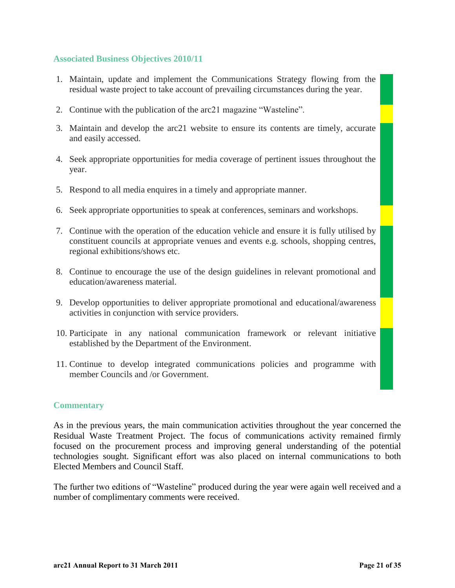#### **Associated Business Objectives 2010/11**

- 1. Maintain, update and implement the Communications Strategy flowing from the residual waste project to take account of prevailing circumstances during the year.
- 2. Continue with the publication of the arc21 magazine "Wasteline".
- 3. Maintain and develop the arc21 website to ensure its contents are timely, accurate and easily accessed.
- 4. Seek appropriate opportunities for media coverage of pertinent issues throughout the year.
- 5. Respond to all media enquires in a timely and appropriate manner.
- 6. Seek appropriate opportunities to speak at conferences, seminars and workshops.
- 7. Continue with the operation of the education vehicle and ensure it is fully utilised by constituent councils at appropriate venues and events e.g. schools, shopping centres, regional exhibitions/shows etc.
- 8. Continue to encourage the use of the design guidelines in relevant promotional and education/awareness material.
- 9. Develop opportunities to deliver appropriate promotional and educational/awareness activities in conjunction with service providers.
- 10. Participate in any national communication framework or relevant initiative established by the Department of the Environment.
- 11. Continue to develop integrated communications policies and programme with member Councils and /or Government.

#### **Commentary**

As in the previous years, the main communication activities throughout the year concerned the Residual Waste Treatment Project. The focus of communications activity remained firmly focused on the procurement process and improving general understanding of the potential technologies sought. Significant effort was also placed on internal communications to both Elected Members and Council Staff.

The further two editions of "Wasteline" produced during the year were again well received and a number of complimentary comments were received.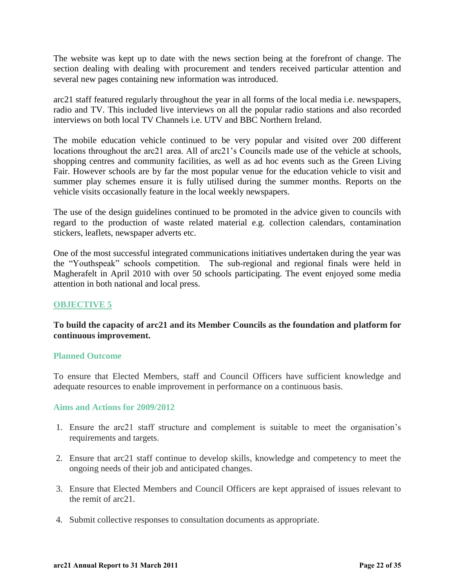The website was kept up to date with the news section being at the forefront of change. The section dealing with dealing with procurement and tenders received particular attention and several new pages containing new information was introduced.

arc21 staff featured regularly throughout the year in all forms of the local media i.e. newspapers, radio and TV. This included live interviews on all the popular radio stations and also recorded interviews on both local TV Channels i.e. UTV and BBC Northern Ireland.

The mobile education vehicle continued to be very popular and visited over 200 different locations throughout the arc21 area. All of arc21's Councils made use of the vehicle at schools, shopping centres and community facilities, as well as ad hoc events such as the Green Living Fair. However schools are by far the most popular venue for the education vehicle to visit and summer play schemes ensure it is fully utilised during the summer months. Reports on the vehicle visits occasionally feature in the local weekly newspapers.

The use of the design guidelines continued to be promoted in the advice given to councils with regard to the production of waste related material e.g. collection calendars, contamination stickers, leaflets, newspaper adverts etc.

One of the most successful integrated communications initiatives undertaken during the year was the "Youthspeak" schools competition. The sub-regional and regional finals were held in Magherafelt in April 2010 with over 50 schools participating. The event enjoyed some media attention in both national and local press.

#### **OBJECTIVE 5**

#### **To build the capacity of arc21 and its Member Councils as the foundation and platform for continuous improvement.**

#### **Planned Outcome**

To ensure that Elected Members, staff and Council Officers have sufficient knowledge and adequate resources to enable improvement in performance on a continuous basis.

#### **Aims and Actions for 2009/2012**

- 1. Ensure the arc21 staff structure and complement is suitable to meet the organisation"s requirements and targets.
- 2. Ensure that arc21 staff continue to develop skills, knowledge and competency to meet the ongoing needs of their job and anticipated changes.
- 3. Ensure that Elected Members and Council Officers are kept appraised of issues relevant to the remit of arc21.
- 4. Submit collective responses to consultation documents as appropriate.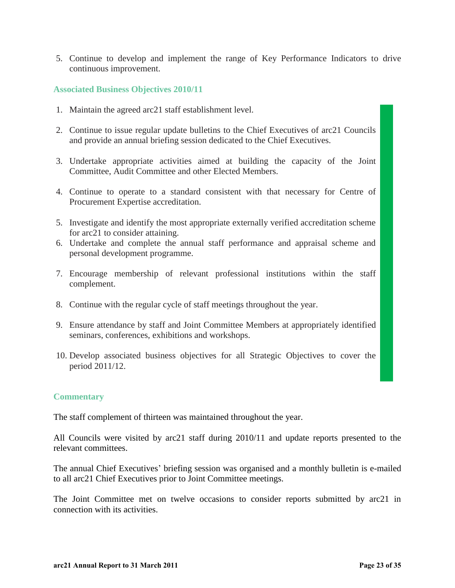5. Continue to develop and implement the range of Key Performance Indicators to drive continuous improvement.

#### **Associated Business Objectives 2010/11**

- 1. Maintain the agreed arc21 staff establishment level.
- 2. Continue to issue regular update bulletins to the Chief Executives of arc21 Councils and provide an annual briefing session dedicated to the Chief Executives.
- 3. Undertake appropriate activities aimed at building the capacity of the Joint Committee, Audit Committee and other Elected Members.
- 4. Continue to operate to a standard consistent with that necessary for Centre of Procurement Expertise accreditation.
- 5. Investigate and identify the most appropriate externally verified accreditation scheme for arc21 to consider attaining.
- 6. Undertake and complete the annual staff performance and appraisal scheme and personal development programme.
- 7. Encourage membership of relevant professional institutions within the staff complement.
- 8. Continue with the regular cycle of staff meetings throughout the year.
- 9. Ensure attendance by staff and Joint Committee Members at appropriately identified seminars, conferences, exhibitions and workshops.
- 10. Develop associated business objectives for all Strategic Objectives to cover the period 2011/12.

#### **Commentary**

The staff complement of thirteen was maintained throughout the year.

All Councils were visited by arc21 staff during 2010/11 and update reports presented to the relevant committees.

The annual Chief Executives' briefing session was organised and a monthly bulletin is e-mailed to all arc21 Chief Executives prior to Joint Committee meetings.

The Joint Committee met on twelve occasions to consider reports submitted by arc21 in connection with its activities.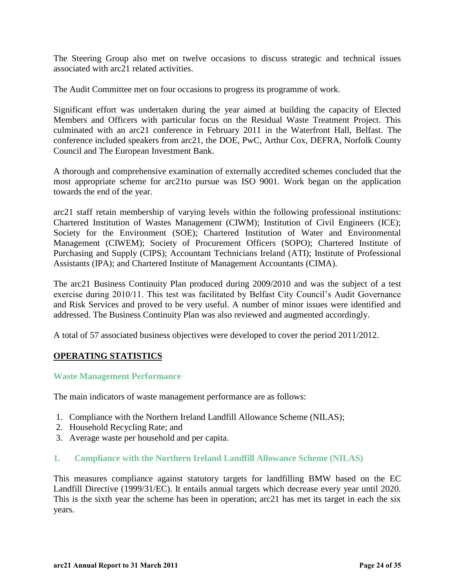The Steering Group also met on twelve occasions to discuss strategic and technical issues associated with arc21 related activities.

The Audit Committee met on four occasions to progress its programme of work.

Significant effort was undertaken during the year aimed at building the capacity of Elected Members and Officers with particular focus on the Residual Waste Treatment Project. This culminated with an arc21 conference in February 2011 in the Waterfront Hall, Belfast. The conference included speakers from arc21, the DOE, PwC, Arthur Cox, DEFRA, Norfolk County Council and The European Investment Bank.

A thorough and comprehensive examination of externally accredited schemes concluded that the most appropriate scheme for arc21to pursue was ISO 9001. Work began on the application towards the end of the year.

arc21 staff retain membership of varying levels within the following professional institutions: Chartered Institution of Wastes Management (CIWM); Institution of Civil Engineers (ICE); Society for the Environment (SOE); Chartered Institution of Water and Environmental Management (CIWEM); Society of Procurement Officers (SOPO); Chartered Institute of Purchasing and Supply (CIPS); Accountant Technicians Ireland (ATI); Institute of Professional Assistants (IPA); and Chartered Institute of Management Accountants (CIMA).

The arc21 Business Continuity Plan produced during 2009/2010 and was the subject of a test exercise during 2010/11. This test was facilitated by Belfast City Council"s Audit Governance and Risk Services and proved to be very useful. A number of minor issues were identified and addressed. The Business Continuity Plan was also reviewed and augmented accordingly.

A total of 57 associated business objectives were developed to cover the period 2011/2012.

#### **OPERATING STATISTICS**

#### **Waste Management Performance**

The main indicators of waste management performance are as follows:

- 1. Compliance with the Northern Ireland Landfill Allowance Scheme (NILAS);
- 2. Household Recycling Rate; and
- 3. Average waste per household and per capita.

#### **1. Compliance with the Northern Ireland Landfill Allowance Scheme (NILAS)**

This measures compliance against statutory targets for landfilling BMW based on the EC Landfill Directive (1999/31/EC). It entails annual targets which decrease every year until 2020. This is the sixth year the scheme has been in operation; arc21 has met its target in each the six years.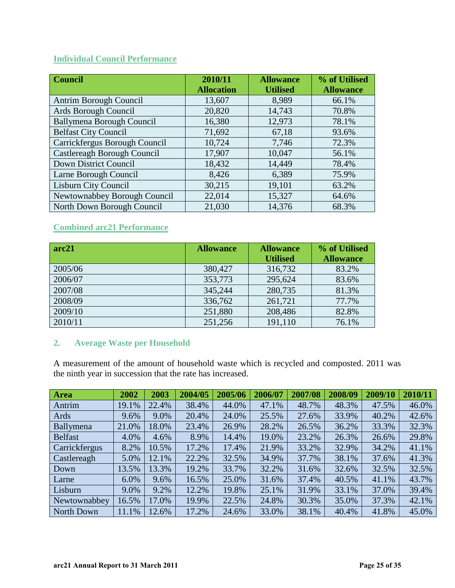## **Individual Council Performance**

| <b>Council</b>                   | 2010/11           | <b>Allowance</b> | % of Utilised    |
|----------------------------------|-------------------|------------------|------------------|
|                                  | <b>Allocation</b> | <b>Utilised</b>  | <b>Allowance</b> |
| Antrim Borough Council           | 13,607            | 8,989            | 66.1%            |
| Ards Borough Council             | 20,820            | 14,743           | 70.8%            |
| <b>Ballymena Borough Council</b> | 16,380            | 12,973           | 78.1%            |
| <b>Belfast City Council</b>      | 71,692            | 67,18            | 93.6%            |
| Carrickfergus Borough Council    | 10,724            | 7,746            | 72.3%            |
| Castlereagh Borough Council      | 17,907            | 10,047           | 56.1%            |
| Down District Council            | 18,432            | 14,449           | 78.4%            |
| Larne Borough Council            | 8,426             | 6,389            | 75.9%            |
| <b>Lisburn City Council</b>      | 30,215            | 19,101           | 63.2%            |
| Newtownabbey Borough Council     | 22,014            | 15,327           | 64.6%            |
| North Down Borough Council       | 21,030            | 14,376           | 68.3%            |

## **Combined arc21 Performance**

| arc21   | <b>Allowance</b> | <b>Allowance</b> | % of Utilised    |
|---------|------------------|------------------|------------------|
|         |                  | <b>Utilised</b>  | <b>Allowance</b> |
| 2005/06 | 380,427          | 316,732          | 83.2%            |
| 2006/07 | 353,773          | 295,624          | 83.6%            |
| 2007/08 | 345,244          | 280,735          | 81.3%            |
| 2008/09 | 336,762          | 261,721          | 77.7%            |
| 2009/10 | 251,880          | 208,486          | 82.8%            |
| 2010/11 | 251,256          | 191,110          | 76.1%            |

#### **2. Average Waste per Household**

A measurement of the amount of household waste which is recycled and composted. 2011 was the ninth year in succession that the rate has increased.

| <b>Area</b>    | 2002  | 2003  | 2004/05 | 2005/06 | 2006/07 | 2007/08 | 2008/09 | 2009/10 | 2010/11 |
|----------------|-------|-------|---------|---------|---------|---------|---------|---------|---------|
| Antrim         | 19.1% | 22.4% | 38.4%   | 44.0%   | 47.1%   | 48.7%   | 48.3%   | 47.5%   | 46.0%   |
| Ards           | 9.6%  | 9.0%  | 20.4%   | 24.0%   | 25.5%   | 27.6%   | 33.9%   | 40.2%   | 42.6%   |
| Ballymena      | 21.0% | 18.0% | 23.4%   | 26.9%   | 28.2%   | 26.5%   | 36.2%   | 33.3%   | 32.3%   |
| <b>Belfast</b> | 4.0%  | 4.6%  | 8.9%    | 14.4%   | 19.0%   | 23.2%   | 26.3%   | 26.6%   | 29.8%   |
| Carrickfergus  | 8.2%  | 10.5% | 17.2%   | 17.4%   | 21.9%   | 33.2%   | 32.9%   | 34.2%   | 41.1%   |
| Castlereagh    | 5.0%  | 12.1% | 22.2%   | 32.5%   | 34.9%   | 37.7%   | 38.1%   | 37.6%   | 41.3%   |
| Down           | 13.5% | 13.3% | 19.2%   | 33.7%   | 32.2%   | 31.6%   | 32.6%   | 32.5%   | 32.5%   |
| Larne          | 6.0%  | 9.6%  | 16.5%   | 25.0%   | 31.6%   | 37.4%   | 40.5%   | 41.1%   | 43.7%   |
| Lisburn        | 9.0%  | 9.2%  | 12.2%   | 19.8%   | 25.1%   | 31.9%   | 33.1%   | 37.0%   | 39.4%   |
| Newtownabbey   | 16.5% | 17.0% | 19.9%   | 22.5%   | 24.8%   | 30.3%   | 35.0%   | 37.3%   | 42.1%   |
| North Down     | 11.1% | 12.6% | 17.2%   | 24.6%   | 33.0%   | 38.1%   | 40.4%   | 41.8%   | 45.0%   |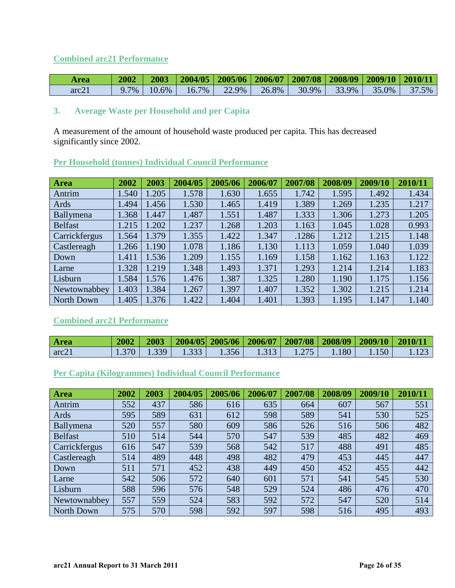## **Combined arc21 Performance**

| Area  | 2002 | 2003     |                      |          | 2004/05   2005/06   2006/07   2007/08   2008/09   2009/10   2010/11 |       |       |       |       |
|-------|------|----------|----------------------|----------|---------------------------------------------------------------------|-------|-------|-------|-------|
| arc21 | 7%   | $10.6\%$ | 7%<br>$\mathbf{b}$ . | າາ<br>9% | 26.8%                                                               | 30.9% | 33.9% | 35.0% | $5\%$ |

## **3. Average Waste per Household and per Capita**

A measurement of the amount of household waste produced per capita. This has decreased significantly since 2002.

| Area           | 2002  | 2003  | 2004/05 | 2005/06 | 2006/07 | 2007/08 | 2008/09 | 2009/10 | 2010/11 |
|----------------|-------|-------|---------|---------|---------|---------|---------|---------|---------|
| Antrim         | .540  | .205  | 1.578   | 1.630   | 1.655   | 1.742   | 1.595   | 1.492   | 1.434   |
| Ards           | .494  | 1.456 | 1.530   | 1.465   | 1.419   | 1.389   | 1.269   | 1.235   | 1.217   |
| Ballymena      | .368  | 1.447 | 1.487   | 1.551   | 1.487   | 1.333   | 1.306   | 1.273   | 1.205   |
| <b>Belfast</b> | .215  | .202  | 1.237   | 1.268   | 1.203   | 1.163   | 1.045   | 1.028   | 0.993   |
| Carrickfergus  | .564  | 1.379 | 1.355   | 1.422   | 1.347   | .1286   | 1.212   | 1.215   | 1.148   |
| Castlereagh    | .266  | 1.190 | 1.078   | 1.186   | 1.130   | 1.113   | 1.059   | 1.040   | 1.039   |
| Down           | .411  | 1.536 | 1.209   | 1.155   | 1.169   | 1.158   | 1.162   | 1.163   | 1.122   |
| Larne          | .328  | 1.219 | 1.348   | 1.493   | 1.371   | 1.293   | 1.214   | 1.214   | 1.183   |
| Lisburn        | 1.584 | 1.576 | 1.476   | 1.387   | 1.325   | 1.280   | 1.190   | 1.175   | 1.156   |
| Newtownabbey   | .403  | 1.384 | 1.267   | 1.397   | 1.407   | 1.352   | 1.302   | 1.215   | 1.214   |
| North Down     | .405  | 1.376 | 1.422   | 1.404   | 1.401   | 1.393   | 1.195   | 1.147   | 1.140   |

## **Per Household (tonnes) Individual Council Performance**

## **Combined arc21 Performance**

| <b>Area</b>       | 2002 | 2003 |       |       |       | 2004/05  2005/06   2006/07   2007/08   2008/09   2009/10   2010/11 |     |      |     |
|-------------------|------|------|-------|-------|-------|--------------------------------------------------------------------|-----|------|-----|
| arc2 <sup>1</sup> | 370  | 339  | 1.333 | 1.356 | 1.313 | 1.275                                                              | 180 | .150 | 123 |

## **Per Capita (Kilogrammes) Individual Council Performance**

| <b>Area</b>    | 2002 | 2003 | 2004/05 | 2005/06 | 2006/07 | 2007/08 | 2008/09 | 2009/10 | 2010/11 |
|----------------|------|------|---------|---------|---------|---------|---------|---------|---------|
| Antrim         | 552  | 437  | 586     | 616     | 635     | 664     | 607     | 567     | 551     |
| Ards           | 595  | 589  | 631     | 612     | 598     | 589     | 541     | 530     | 525     |
| Ballymena      | 520  | 557  | 580     | 609     | 586     | 526     | 516     | 506     | 482     |
| <b>Belfast</b> | 510  | 514  | 544     | 570     | 547     | 539     | 485     | 482     | 469     |
| Carrickfergus  | 616  | 547  | 539     | 568     | 542     | 517     | 488     | 491     | 485     |
| Castlereagh    | 514  | 489  | 448     | 498     | 482     | 479     | 453     | 445     | 447     |
| Down           | 511  | 571  | 452     | 438     | 449     | 450     | 452     | 455     | 442     |
| Larne          | 542  | 506  | 572     | 640     | 601     | 571     | 541     | 545     | 530     |
| Lisburn        | 588  | 596  | 576     | 548     | 529     | 524     | 486     | 476     | 470     |
| Newtownabbey   | 557  | 559  | 524     | 583     | 592     | 572     | 547     | 520     | 514     |
| North Down     | 575  | 570  | 598     | 592     | 597     | 598     | 516     | 495     | 493     |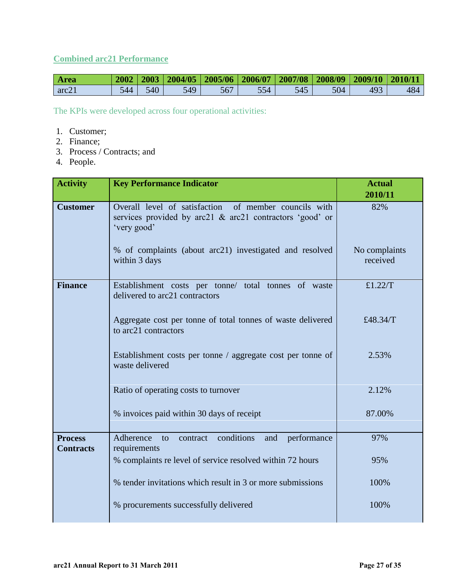## **Combined arc21 Performance**

| <b>Area</b> |     |     |     | $2002   2003   2004/05   2005/06   2006/07   2007/08   2008/09   2009/10   2010/11$ |     |     |     |     |     |
|-------------|-----|-----|-----|-------------------------------------------------------------------------------------|-----|-----|-----|-----|-----|
| arc21       | 544 | 540 | 549 | 567                                                                                 | 554 | 545 | 504 | 493 | 484 |

The KPIs were developed across four operational activities:

- 1. Customer;
- 2. Finance;
- 3. Process / Contracts; and
- 4. People.

| <b>Activity</b>                    | <b>Key Performance Indicator</b>                                                                                                 | <b>Actual</b><br>2010/11  |
|------------------------------------|----------------------------------------------------------------------------------------------------------------------------------|---------------------------|
| <b>Customer</b>                    | Overall level of satisfaction of member councils with<br>services provided by arc21 & arc21 contractors 'good' or<br>'very good' | 82%                       |
|                                    | % of complaints (about arc21) investigated and resolved<br>within 3 days                                                         | No complaints<br>received |
| <b>Finance</b>                     | Establishment costs per tonne/ total tonnes of waste<br>delivered to arc21 contractors                                           | £1.22 $/T$                |
|                                    | Aggregate cost per tonne of total tonnes of waste delivered<br>to arc21 contractors                                              | £48.34/T                  |
|                                    | Establishment costs per tonne / aggregate cost per tonne of<br>waste delivered                                                   | 2.53%                     |
|                                    | Ratio of operating costs to turnover                                                                                             | 2.12%                     |
|                                    | % invoices paid within 30 days of receipt                                                                                        | 87.00%                    |
| <b>Process</b><br><b>Contracts</b> | conditions<br>Adherence<br>performance<br>and<br>contract<br>to<br>requirements                                                  | 97%                       |
|                                    | % complaints re level of service resolved within 72 hours                                                                        | 95%                       |
|                                    | % tender invitations which result in 3 or more submissions                                                                       | 100%                      |
|                                    | % procurements successfully delivered                                                                                            | 100%                      |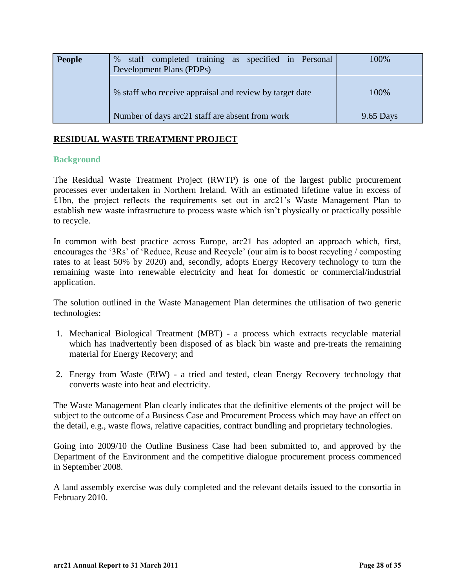| People | staff completed training as specified in Personal<br>$\%$<br>Development Plans (PDPs) | 100%        |
|--------|---------------------------------------------------------------------------------------|-------------|
|        | % staff who receive appraisal and review by target date                               | 100%        |
|        | Number of days arc21 staff are absent from work                                       | $9.65$ Days |

#### **RESIDUAL WASTE TREATMENT PROJECT**

#### **Background**

The Residual Waste Treatment Project (RWTP) is one of the largest public procurement processes ever undertaken in Northern Ireland. With an estimated lifetime value in excess of £1bn, the project reflects the requirements set out in arc21"s Waste Management Plan to establish new waste infrastructure to process waste which isn"t physically or practically possible to recycle.

In common with best practice across Europe, arc21 has adopted an approach which, first, encourages the "3Rs" of "Reduce, Reuse and Recycle" (our aim is to boost recycling / composting rates to at least 50% by 2020) and, secondly, adopts Energy Recovery technology to turn the remaining waste into renewable electricity and heat for domestic or commercial/industrial application.

The solution outlined in the Waste Management Plan determines the utilisation of two generic technologies:

- 1. Mechanical Biological Treatment (MBT) a process which extracts recyclable material which has inadvertently been disposed of as black bin waste and pre-treats the remaining material for Energy Recovery; and
- 2. Energy from Waste (EfW) a tried and tested, clean Energy Recovery technology that converts waste into heat and electricity.

The Waste Management Plan clearly indicates that the definitive elements of the project will be subject to the outcome of a Business Case and Procurement Process which may have an effect on the detail, e.g., waste flows, relative capacities, contract bundling and proprietary technologies.

Going into 2009/10 the Outline Business Case had been submitted to, and approved by the Department of the Environment and the competitive dialogue procurement process commenced in September 2008.

A land assembly exercise was duly completed and the relevant details issued to the consortia in February 2010.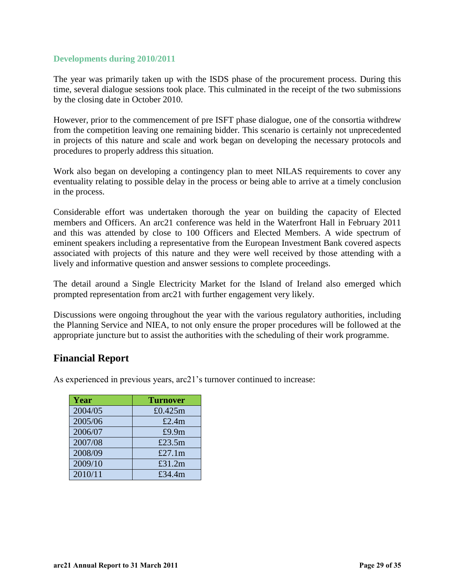#### **Developments during 2010/2011**

The year was primarily taken up with the ISDS phase of the procurement process. During this time, several dialogue sessions took place. This culminated in the receipt of the two submissions by the closing date in October 2010.

However, prior to the commencement of pre ISFT phase dialogue, one of the consortia withdrew from the competition leaving one remaining bidder. This scenario is certainly not unprecedented in projects of this nature and scale and work began on developing the necessary protocols and procedures to properly address this situation.

Work also began on developing a contingency plan to meet NILAS requirements to cover any eventuality relating to possible delay in the process or being able to arrive at a timely conclusion in the process.

Considerable effort was undertaken thorough the year on building the capacity of Elected members and Officers. An arc21 conference was held in the Waterfront Hall in February 2011 and this was attended by close to 100 Officers and Elected Members. A wide spectrum of eminent speakers including a representative from the European Investment Bank covered aspects associated with projects of this nature and they were well received by those attending with a lively and informative question and answer sessions to complete proceedings.

The detail around a Single Electricity Market for the Island of Ireland also emerged which prompted representation from arc21 with further engagement very likely.

Discussions were ongoing throughout the year with the various regulatory authorities, including the Planning Service and NIEA, to not only ensure the proper procedures will be followed at the appropriate juncture but to assist the authorities with the scheduling of their work programme.

## <span id="page-28-0"></span>**Financial Report**

As experienced in previous years, arc21's turnover continued to increase:

| <b>Year</b> | <b>Turnover</b> |
|-------------|-----------------|
| 2004/05     | £0.425m         |
| 2005/06     | £2.4 $m$        |
| 2006/07     | £9.9m           |
| 2007/08     | £23.5m          |
| 2008/09     | £27.1 $m$       |
| 2009/10     | £31.2m          |
| 2010/11     | £34.4m          |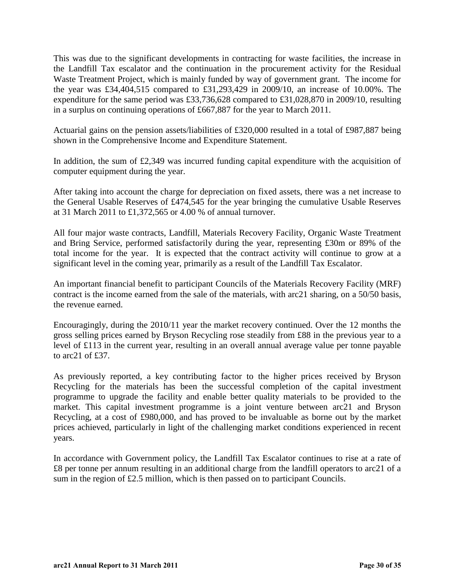This was due to the significant developments in contracting for waste facilities, the increase in the Landfill Tax escalator and the continuation in the procurement activity for the Residual Waste Treatment Project, which is mainly funded by way of government grant. The income for the year was £34,404,515 compared to £31,293,429 in 2009/10, an increase of 10.00%. The expenditure for the same period was £33,736,628 compared to £31,028,870 in 2009/10, resulting in a surplus on continuing operations of £667,887 for the year to March 2011.

Actuarial gains on the pension assets/liabilities of £320,000 resulted in a total of £987,887 being shown in the Comprehensive Income and Expenditure Statement.

In addition, the sum of  $£2,349$  was incurred funding capital expenditure with the acquisition of computer equipment during the year.

After taking into account the charge for depreciation on fixed assets, there was a net increase to the General Usable Reserves of £474,545 for the year bringing the cumulative Usable Reserves at 31 March 2011 to £1,372,565 or 4.00 % of annual turnover.

All four major waste contracts, Landfill, Materials Recovery Facility, Organic Waste Treatment and Bring Service, performed satisfactorily during the year, representing £30m or 89% of the total income for the year. It is expected that the contract activity will continue to grow at a significant level in the coming year, primarily as a result of the Landfill Tax Escalator.

An important financial benefit to participant Councils of the Materials Recovery Facility (MRF) contract is the income earned from the sale of the materials, with arc21 sharing, on a 50/50 basis, the revenue earned.

Encouragingly, during the 2010/11 year the market recovery continued. Over the 12 months the gross selling prices earned by Bryson Recycling rose steadily from £88 in the previous year to a level of £113 in the current year, resulting in an overall annual average value per tonne payable to arc21 of £37.

As previously reported, a key contributing factor to the higher prices received by Bryson Recycling for the materials has been the successful completion of the capital investment programme to upgrade the facility and enable better quality materials to be provided to the market. This capital investment programme is a joint venture between arc21 and Bryson Recycling, at a cost of £980,000, and has proved to be invaluable as borne out by the market prices achieved, particularly in light of the challenging market conditions experienced in recent years.

In accordance with Government policy, the Landfill Tax Escalator continues to rise at a rate of £8 per tonne per annum resulting in an additional charge from the landfill operators to arc21 of a sum in the region of £2.5 million, which is then passed on to participant Councils.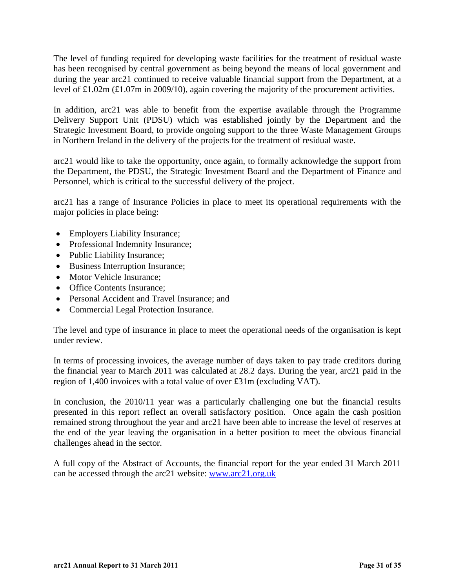The level of funding required for developing waste facilities for the treatment of residual waste has been recognised by central government as being beyond the means of local government and during the year arc21 continued to receive valuable financial support from the Department, at a level of £1.02m (£1.07m in 2009/10), again covering the majority of the procurement activities.

In addition, arc21 was able to benefit from the expertise available through the Programme Delivery Support Unit (PDSU) which was established jointly by the Department and the Strategic Investment Board, to provide ongoing support to the three Waste Management Groups in Northern Ireland in the delivery of the projects for the treatment of residual waste.

arc21 would like to take the opportunity, once again, to formally acknowledge the support from the Department, the PDSU, the Strategic Investment Board and the Department of Finance and Personnel, which is critical to the successful delivery of the project.

arc21 has a range of Insurance Policies in place to meet its operational requirements with the major policies in place being:

- Employers Liability Insurance;
- Professional Indemnity Insurance;
- Public Liability Insurance;
- Business Interruption Insurance;
- Motor Vehicle Insurance:
- Office Contents Insurance:
- Personal Accident and Travel Insurance: and
- Commercial Legal Protection Insurance.

The level and type of insurance in place to meet the operational needs of the organisation is kept under review.

In terms of processing invoices, the average number of days taken to pay trade creditors during the financial year to March 2011 was calculated at 28.2 days. During the year, arc21 paid in the region of 1,400 invoices with a total value of over £31m (excluding VAT).

In conclusion, the 2010/11 year was a particularly challenging one but the financial results presented in this report reflect an overall satisfactory position. Once again the cash position remained strong throughout the year and arc21 have been able to increase the level of reserves at the end of the year leaving the organisation in a better position to meet the obvious financial challenges ahead in the sector.

A full copy of the Abstract of Accounts, the financial report for the year ended 31 March 2011 can be accessed through the arc21 website: [www.arc21.org.uk](http://www.arc21.org.uk/)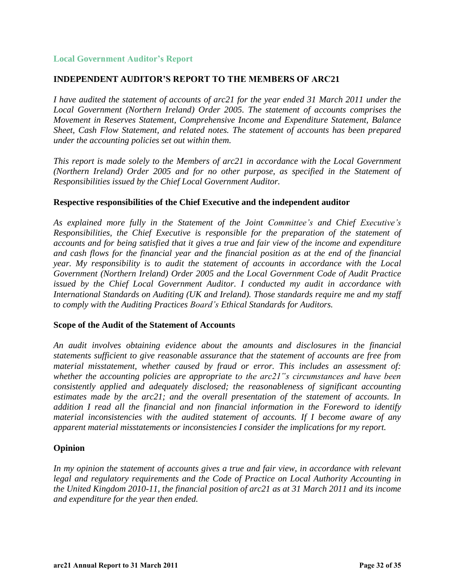#### **Local Government Auditor's Report**

#### **INDEPENDENT AUDITOR'S REPORT TO THE MEMBERS OF ARC21**

*I have audited the statement of accounts of arc21 for the year ended 31 March 2011 under the Local Government (Northern Ireland) Order 2005. The statement of accounts comprises the Movement in Reserves Statement, Comprehensive Income and Expenditure Statement, Balance Sheet, Cash Flow Statement, and related notes. The statement of accounts has been prepared under the accounting policies set out within them.* 

*This report is made solely to the Members of arc21 in accordance with the Local Government (Northern Ireland) Order 2005 and for no other purpose, as specified in the Statement of Responsibilities issued by the Chief Local Government Auditor.* 

#### **Respective responsibilities of the Chief Executive and the independent auditor**

*As explained more fully in the Statement of the Joint Committee's and Chief Executive's Responsibilities, the Chief Executive is responsible for the preparation of the statement of accounts and for being satisfied that it gives a true and fair view of the income and expenditure and cash flows for the financial year and the financial position as at the end of the financial year. My responsibility is to audit the statement of accounts in accordance with the Local Government (Northern Ireland) Order 2005 and the Local Government Code of Audit Practice issued by the Chief Local Government Auditor. I conducted my audit in accordance with International Standards on Auditing (UK and Ireland). Those standards require me and my staff to comply with the Auditing Practices Board's Ethical Standards for Auditors.* 

#### **Scope of the Audit of the Statement of Accounts**

*An audit involves obtaining evidence about the amounts and disclosures in the financial statements sufficient to give reasonable assurance that the statement of accounts are free from material misstatement, whether caused by fraud or error. This includes an assessment of: whether the accounting policies are appropriate to the arc21"s circumstances and have been consistently applied and adequately disclosed; the reasonableness of significant accounting estimates made by the arc21; and the overall presentation of the statement of accounts. In addition I read all the financial and non financial information in the Foreword to identify material inconsistencies with the audited statement of accounts. If I become aware of any apparent material misstatements or inconsistencies I consider the implications for my report.* 

#### **Opinion**

In my opinion the statement of accounts gives a true and fair view, in accordance with relevant *legal and regulatory requirements and the Code of Practice on Local Authority Accounting in the United Kingdom 2010-11, the financial position of arc21 as at 31 March 2011 and its income and expenditure for the year then ended.*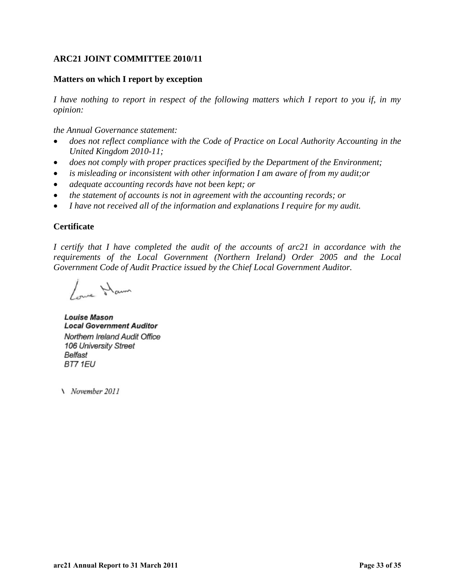#### **ARC21 JOINT COMMITTEE 2010/11**

#### **Matters on which I report by exception**

*I have nothing to report in respect of the following matters which I report to you if, in my opinion:* 

*the Annual Governance statement:* 

- *does not reflect compliance with the Code of Practice on Local Authority Accounting in the United Kingdom 2010-11;*
- does not comply with proper practices specified by the Department of the Environment;
- *is misleading or inconsistent with other information I am aware of from my audit;or*
- *adequate accounting records have not been kept; or*
- *the statement of accounts is not in agreement with the accounting records; or*
- *I have not received all of the information and explanations I require for my audit.*

#### **Certificate**

*I certify that I have completed the audit of the accounts of arc21 in accordance with the requirements of the Local Government (Northern Ireland) Order 2005 and the Local Government Code of Audit Practice issued by the Chief Local Government Auditor.* 

I me Hawn

**Louise Mason Local Government Auditor** Northern Ireland Audit Office 106 University Street Belfast BT7 1EU

N November 2011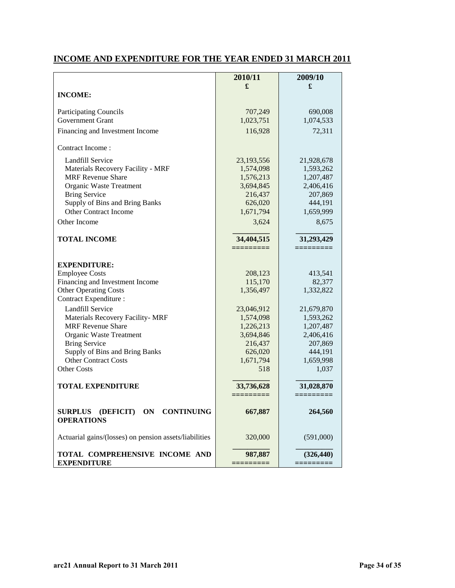## **INCOME AND EXPENDITURE FOR THE YEAR ENDED 31 MARCH 2011**

|                                                                             | 2010/11       | 2009/10    |
|-----------------------------------------------------------------------------|---------------|------------|
| <b>INCOME:</b>                                                              | £             | £          |
|                                                                             |               |            |
| <b>Participating Councils</b>                                               | 707,249       | 690,008    |
| <b>Government Grant</b>                                                     | 1,023,751     | 1,074,533  |
| Financing and Investment Income                                             | 116,928       | 72,311     |
| Contract Income:                                                            |               |            |
| <b>Landfill Service</b>                                                     | 23,193,556    | 21,928,678 |
| Materials Recovery Facility - MRF                                           | 1,574,098     | 1,593,262  |
| <b>MRF</b> Revenue Share                                                    | 1,576,213     | 1,207,487  |
| Organic Waste Treatment                                                     | 3,694,845     | 2,406,416  |
| <b>Bring Service</b>                                                        | 216,437       | 207,869    |
| Supply of Bins and Bring Banks                                              | 626,020       | 444,191    |
| <b>Other Contract Income</b>                                                | 1,671,794     | 1,659,999  |
| Other Income                                                                | 3,624         | 8,675      |
| <b>TOTAL INCOME</b>                                                         | 34,404,515    | 31,293,429 |
|                                                                             | =========     |            |
|                                                                             |               |            |
| <b>EXPENDITURE:</b>                                                         |               |            |
| <b>Employee Costs</b>                                                       | 208,123       | 413,541    |
| Financing and Investment Income                                             | 115,170       | 82,377     |
| <b>Other Operating Costs</b><br>Contract Expenditure :                      | 1,356,497     | 1,332,822  |
| Landfill Service                                                            | 23,046,912    | 21,679,870 |
| Materials Recovery Facility- MRF                                            | 1,574,098     | 1,593,262  |
| <b>MRF</b> Revenue Share                                                    | 1,226,213     | 1,207,487  |
| Organic Waste Treatment                                                     | 3,694,846     | 2,406,416  |
| <b>Bring Service</b>                                                        | 216,437       | 207,869    |
| Supply of Bins and Bring Banks                                              | 626,020       | 444,191    |
| <b>Other Contract Costs</b>                                                 | 1,671,794     | 1,659,998  |
| <b>Other Costs</b>                                                          | 518           | 1,037      |
| <b>TOTAL EXPENDITURE</b>                                                    | 33,736,628    | 31,028,870 |
|                                                                             | $=$ ========= | =========  |
| <b>CONTINUING</b><br>(DEFICIT)<br>ON<br><b>SURPLUS</b><br><b>OPERATIONS</b> | 667,887       | 264,560    |
| Actuarial gains/(losses) on pension assets/liabilities                      | 320,000       | (591,000)  |
| TOTAL COMPREHENSIVE INCOME AND<br><b>EXPENDITURE</b>                        | 987,887       | (326, 440) |